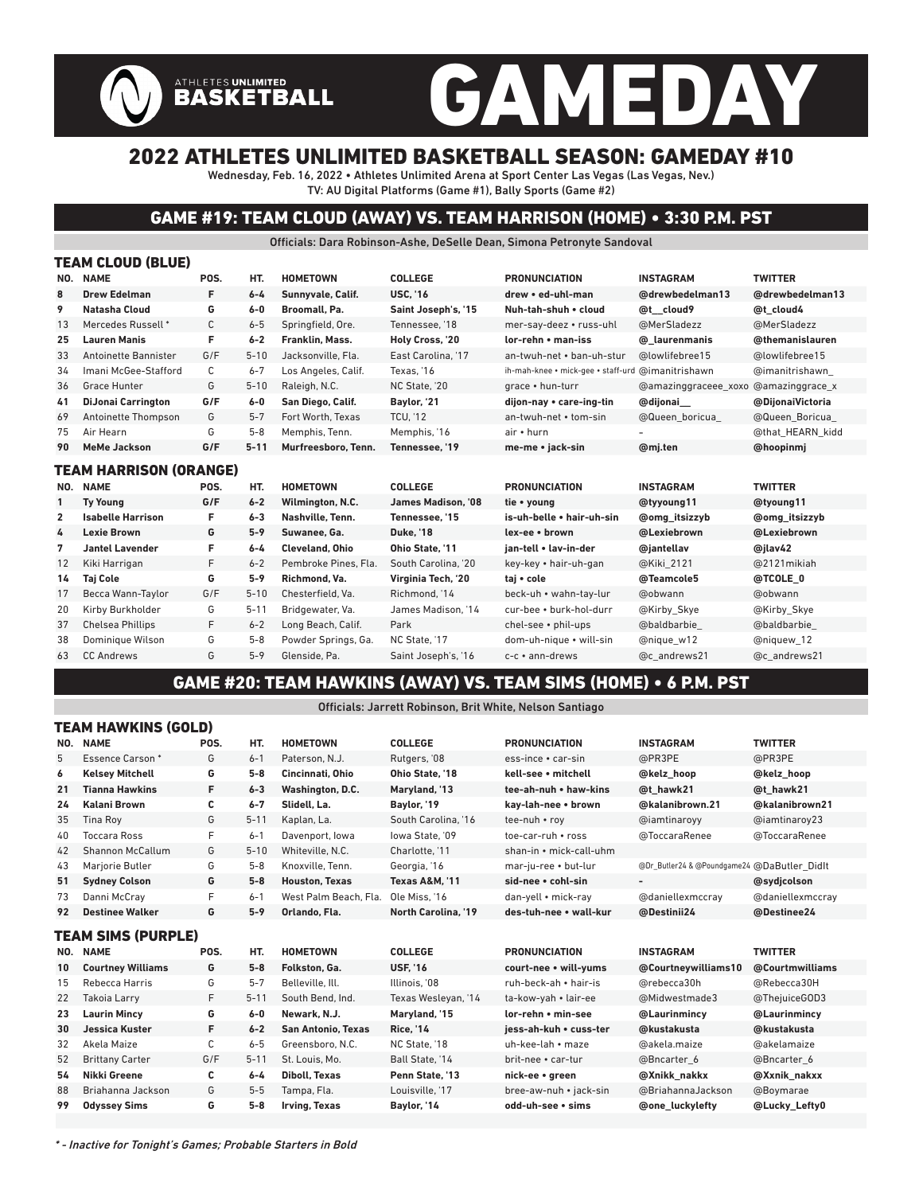# GAMEDAY

### 2022 ATHLETES UNLIMITED BASKETBALL SEASON: GAMEDAY #10

Wednesday, Feb. 16, 2022 • Athletes Unlimited Arena at Sport Center Las Vegas (Las Vegas, Nev.) TV: AU Digital Platforms (Game #1), Bally Sports (Game #2)

ATHLETES UNLIMITED<br>BASKETBALL

#### GAME #19: TEAM CLOUD (AWAY) VS. TEAM HARRISON (HOME) • 3:30 P.M. PST

Officials: Dara Robinson-Ashe, DeSelle Dean, Simona Petronyte Sandoval

|                | TEAM CLOUD (BLUE)             |      |          |                        |                     |                                                   |                      |                      |  |  |  |  |
|----------------|-------------------------------|------|----------|------------------------|---------------------|---------------------------------------------------|----------------------|----------------------|--|--|--|--|
|                | NO. NAME                      | POS. | HT.      | <b>HOMETOWN</b>        | <b>COLLEGE</b>      | <b>PRONUNCIATION</b>                              | <b>INSTAGRAM</b>     | <b>TWITTER</b>       |  |  |  |  |
| 8              | <b>Drew Edelman</b>           | F    | $6 - 4$  | Sunnyvale, Calif.      | <b>USC. '16</b>     | drew • ed-uhl-man                                 | @drewbedelman13      | @drewbedelman13      |  |  |  |  |
| 9              | Natasha Cloud                 | G    | $6 - 0$  | Broomall, Pa.          | Saint Joseph's, '15 | Nuh-tah-shuh . cloud                              | @t cloud9            | @t cloud4            |  |  |  |  |
| 13             | Mercedes Russell *            | С    | $6 - 5$  | Springfield, Ore.      | Tennessee. '18      | mer-say-deez • russ-uhl                           | @MerSladezz          | @MerSladezz          |  |  |  |  |
| 25             | <b>Lauren Manis</b>           | F    | $6 - 2$  | Franklin, Mass.        | Holy Cross, '20     | lor-rehn • man-iss                                | @ laurenmanis        | @themanislauren      |  |  |  |  |
| 33             | Antoinette Bannister          | G/F  | $5 - 10$ | Jacksonville. Fla.     | East Carolina, '17  | an-twuh-net • ban-uh-stur                         | @lowlifebree15       | @lowlifebree15       |  |  |  |  |
| 34             | Imani McGee-Stafford          | С    | $6 - 7$  | Los Angeles, Calif.    | Texas. '16          | ih-mah-knee • mick-gee • staff-urd @imanitrishawn |                      | @imanitrishawn       |  |  |  |  |
| 36             | Grace Hunter                  | G    | $5 - 10$ | Raleigh, N.C.          | NC State. '20       | grace • hun-turr                                  | @amazinggraceee_xoxo | @amazinggrace x      |  |  |  |  |
| 41             | <b>DiJonai Carrington</b>     | G/F  | $6-0$    | San Diego, Calif.      | Baylor, '21         | dijon-nay • care-ing-tin                          | @dijonai             | @DijonaiVictoria     |  |  |  |  |
| 69             | Antoinette Thompson           | G    | $5 - 7$  | Fort Worth, Texas      | <b>TCU, '12</b>     | an-twuh-net • tom-sin                             | @Queen boricua       | @Queen Boricua       |  |  |  |  |
| 75             | Air Hearn                     | G    | $5 - 8$  | Memphis, Tenn.         | Memphis, '16        | air • hurn                                        |                      | @that HEARN kidd     |  |  |  |  |
| 90             | <b>MeMe Jackson</b>           | G/F  | $5 - 11$ | Murfreesboro, Tenn.    | Tennessee. '19      | me-me • jack-sin                                  | @mi.ten              | @hoopinmj            |  |  |  |  |
|                | <b>TEAM HARRISON (ORANGE)</b> |      |          |                        |                     |                                                   |                      |                      |  |  |  |  |
|                | NO. NAME                      | POS. | HT.      | <b>HOMETOWN</b>        | <b>COLLEGE</b>      | <b>PRONUNCIATION</b>                              | <b>INSTAGRAM</b>     | <b>TWITTER</b>       |  |  |  |  |
| $\mathbf{1}$   | <b>Ty Young</b>               | G/F  | $6 - 2$  | Wilmington, N.C.       | James Madison. '08  | tie • young                                       | @tyyoung11           | @tyoung11            |  |  |  |  |
| $\overline{2}$ | <b>Isabelle Harrison</b>      | F    | $6 - 3$  | Nashville, Tenn.       | Tennessee. '15      | is-uh-belle • hair-uh-sin                         | <b>@omg</b> itsizzyb | <b>@omg</b> itsizzyb |  |  |  |  |
| 4              | <b>Lexie Brown</b>            | G    | $5 - 9$  | Suwanee, Ga.           | <b>Duke. '18</b>    | lex-ee • brown                                    | @Lexiebrown          | @Lexiebrown          |  |  |  |  |
| 7              | <b>Jantel Lavender</b>        | F    | $6 - 4$  | <b>Cleveland, Ohio</b> | Ohio State. '11     | jan-tell . lav-in-der                             | @jantellav           | @ilav42              |  |  |  |  |
| 12             | Kiki Harrigan                 | F    | $6 - 2$  | Pembroke Pines, Fla.   | South Carolina. '20 | key-key • hair-uh-gan                             | @Kiki 2121           | @2121 mikiah         |  |  |  |  |
| 14             | <b>Taj Cole</b>               | G    | $5-9$    | Richmond, Va.          | Virginia Tech, '20  | taj • cole                                        | @Teamcole5           | @TCOLE 0             |  |  |  |  |
| 17             | Becca Wann-Taylor             | G/F  | $5 - 10$ | Chesterfield, Va.      | Richmond. '14       | beck-uh • wahn-tay-lur                            | @obwann              | @obwann              |  |  |  |  |
| 20             | Kirby Burkholder              | G    | $5 - 11$ | Bridgewater, Va.       | James Madison. '14  | cur-bee • burk-hol-durr                           | @Kirby Skye          | @Kirby Skye          |  |  |  |  |
| 37             | <b>Chelsea Phillips</b>       | F    | $6 - 2$  | Long Beach, Calif.     | Park                | chel-see • phil-ups                               | @baldbarbie          | @baldbarbie          |  |  |  |  |
| 38             |                               |      |          |                        |                     |                                                   |                      |                      |  |  |  |  |
|                | Dominique Wilson              | G    | $5 - 8$  | Powder Springs, Ga.    | NC State. '17       | dom-uh-nique • will-sin                           | @nique w12           | @niquew 12           |  |  |  |  |
| 63             | <b>CC Andrews</b>             | G    | $5 - 9$  | Glenside, Pa.          | Saint Joseph's, '16 | $c-c ullet$ ann-drews                             | @c andrews21         | @c andrews21         |  |  |  |  |

#### GAME #20: TEAM HAWKINS (AWAY) VS. TEAM SIMS (HOME) • 6 P.M. PST

Officials: Jarrett Robinson, Brit White, Nelson Santiago

|     | I LAM NAWNING (UULD)     |      |          |                           |                           |                         |                                             |                  |  |  |  |  |
|-----|--------------------------|------|----------|---------------------------|---------------------------|-------------------------|---------------------------------------------|------------------|--|--|--|--|
| NO. | <b>NAME</b>              | POS. | HT.      | <b>HOMETOWN</b>           | <b>COLLEGE</b>            | <b>PRONUNCIATION</b>    | <b>INSTAGRAM</b>                            | <b>TWITTER</b>   |  |  |  |  |
| 5   | <b>Essence Carson*</b>   | G    | $6 - 1$  | Paterson, N.J.            | Rutgers, '08              | ess-ince • car-sin      | @PR3PE                                      | @PR3PE           |  |  |  |  |
| 6   | <b>Kelsey Mitchell</b>   | G    | $5 - 8$  | Cincinnati, Ohio          | Ohio State, '18           | kell-see • mitchell     | @kelz hoop                                  | @kelz hoop       |  |  |  |  |
| 21  | <b>Tianna Hawkins</b>    | F    | $6 - 3$  | Washington, D.C.          | Maryland, '13             | tee-ah-nuh • haw-kins   | @t hawk21                                   | @t hawk21        |  |  |  |  |
| 24  | <b>Kalani Brown</b>      | С    | $6 - 7$  | Slidell, La.              | Baylor, '19               | kav-lah-nee • brown     | @kalanibrown.21                             | @kalanibrown21   |  |  |  |  |
| 35  | <b>Tina Roy</b>          | G    | $5 - 11$ | Kaplan, La.               | South Carolina, '16       | tee-nuh • roy           | @iamtinaroyy                                | @iamtinaroy23    |  |  |  |  |
| 40  | <b>Toccara Ross</b>      | F    | $6 - 1$  | Davenport, Iowa           | lowa State. '09           | toe-car-ruh • ross      | @ToccaraRenee                               | @ToccaraRenee    |  |  |  |  |
| 42  | Shannon McCallum         | G    | $5 - 10$ | Whiteville, N.C.          | Charlotte, '11            | shan-in • mick-call-uhm |                                             |                  |  |  |  |  |
| 43  | Marjorie Butler          | G    | $5 - 8$  | Knoxville, Tenn.          | Georgia, '16              | mar-ju-ree • but-lur    | @Dr_Butler24 & @Poundgame24 @DaButler Didlt |                  |  |  |  |  |
| 51  | <b>Sydney Colson</b>     | G    | $5-8$    | <b>Houston, Texas</b>     | <b>Texas A&amp;M. '11</b> | sid-nee • cohl-sin      |                                             | @sydjcolson      |  |  |  |  |
| 73  | Danni McCray             | F    | $6 - 1$  | West Palm Beach, Fla.     | Ole Miss. '16             | dan-yell • mick-ray     | @daniellexmccrav                            | @daniellexmccray |  |  |  |  |
| 92  | <b>Destinee Walker</b>   | G    | $5 - 9$  | Orlando, Fla.             | North Carolina, '19       | des-tuh-nee • wall-kur  | @Destinii24                                 | @Destinee24      |  |  |  |  |
|     | TEAM SIMS (PURPLE)       |      |          |                           |                           |                         |                                             |                  |  |  |  |  |
| NO. | <b>NAME</b>              | POS. | HT.      | <b>HOMETOWN</b>           | <b>COLLEGE</b>            | <b>PRONUNCIATION</b>    | <b>INSTAGRAM</b>                            | <b>TWITTER</b>   |  |  |  |  |
| 10  | <b>Courtney Williams</b> | G    | $5 - 8$  | Folkston, Ga.             | <b>USF. '16</b>           | court-nee • will-vums   | @Courtneywilliams10                         | @Courtmwilliams  |  |  |  |  |
| 15  | Rebecca Harris           | G    | $5 - 7$  | Belleville, Ill.          | Illinois, '08             | ruh-beck-ah • hair-is   | @rebecca30h                                 | @Rebecca30H      |  |  |  |  |
| 22  | Takoia Larry             | F    | $5 - 11$ | South Bend. Ind.          | Texas Wesleyan, '14       | ta-kow-yah • lair-ee    | @Midwestmade3                               | @ThejuiceGOD3    |  |  |  |  |
| 23  | <b>Laurin Mincy</b>      | G    | $6-0$    | Newark, N.J.              | Maryland, '15             | lor-rehn • min-see      | @Laurinmincy                                | @Laurinmincy     |  |  |  |  |
| 30  | Jessica Kuster           | F.   | $6 - 2$  | <b>San Antonio, Texas</b> | <b>Rice. '14</b>          | iess-ah-kuh • cuss-ter  | @kustakusta                                 | @kustakusta      |  |  |  |  |
| 32  | Akela Maize              | С    | $6 - 5$  | Greensboro, N.C.          | NC State, '18             | uh-kee-lah • maze       | @akela.maize                                | @akelamaize      |  |  |  |  |
| 52  | <b>Brittany Carter</b>   | G/F  | $5 - 11$ | St. Louis. Mo.            | Ball State. '14           | brit-nee • car-tur      | @Bncarter 6                                 | @Bncarter 6      |  |  |  |  |
| 54  | Nikki Greene             | c    | $6 - 4$  | <b>Diboll, Texas</b>      | Penn State, '13           | nick-ee • green         | @Xnikk nakkx                                | @Xxnik nakxx     |  |  |  |  |
| 88  | Briahanna Jackson        | G    | $5-5$    | Tampa, Fla.               | Louisville, '17           | bree-aw-nuh • jack-sin  | @BriahannaJackson                           | @Boymarae        |  |  |  |  |
| 99  | <b>Odyssey Sims</b>      | G    | $5 - 8$  | Irving, Texas             | Baylor, '14               | odd-uh-see • sims       | <b>@one luckylefty</b>                      | @Lucky_Lefty0    |  |  |  |  |
|     |                          |      |          |                           |                           |                         |                                             |                  |  |  |  |  |

\* - Inactive for Tonight's Games; Probable Starters in Bold

AN HAWKING (GOLD)